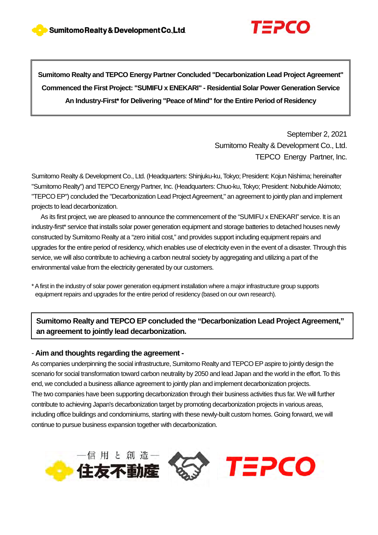

**Sumitomo Realty and TEPCO Energy Partner Concluded "Decarbonization Lead Project Agreement" Commenced the First Project: "SUMIFU x ENEKARI" - Residential Solar Power Generation Service An Industry-First\* for Delivering "Peace of Mind" for the Entire Period of Residency** 

> September 2, 2021 Sumitomo Realty & Development Co., Ltd. TEPCO Energy Partner, Inc.

Sumitomo Realty & Development Co., Ltd. (Headquarters: Shinjuku-ku, Tokyo; President: Kojun Nishima; hereinafter "Sumitomo Realty") and TEPCO Energy Partner, Inc. (Headquarters: Chuo-ku, Tokyo; President: Nobuhide Akimoto; "TEPCO EP") concluded the "Decarbonization Lead Project Agreement," an agreement to jointly plan and implement projects to lead decarbonization.

As its first project, we are pleased to announce the commencement of the "SUMIFU x ENEKARI" service. It is an industry-first\* service that installs solar power generation equipment and storage batteries to detached houses newly constructed by Sumitomo Realty at a "zero initial cost," and provides support including equipment repairs and upgrades for the entire period of residency, which enables use of electricity even in the event of a disaster. Through this service, we will also contribute to achieving a carbon neutral society by aggregating and utilizing a part of the environmental value from the electricity generated by our customers.

\*A first in the industry of solar power generation equipment installation where a major infrastructure group supports equipment repairs and upgrades for the entire period of residency (based on our own research).

**Sumitomo Realty and TEPCO EP concluded the "Decarbonization Lead Project Agreement," an agreement to jointly lead decarbonization.**

#### - **Aim and thoughts regarding the agreement -**

As companies underpinning the social infrastructure, Sumitomo Realty and TEPCO EP aspire to jointly design the scenario for social transformation toward carbon neutrality by 2050 and lead Japan and the world in the effort. To this end, we concluded a business alliance agreement to jointly plan and implement decarbonization projects. The two companies have been supporting decarbonization through their business activities thus far. We will further contribute to achieving Japan's decarbonization target by promoting decarbonization projects in various areas, including office buildings and condominiums, starting with these newly-built custom homes. Going forward, we will continue to pursue business expansion together with decarbonization.

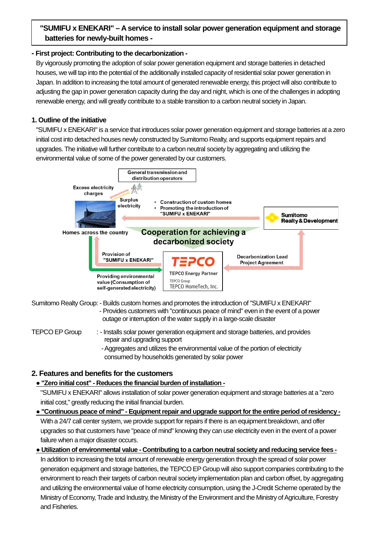# **batteries for newly-built homes -"SUMIFU x ENEKARI" – A service to install solar power generation equipment and storage**

#### **- First project: Contributing to the decarbonization -**

By vigorously promoting the adoption of solar power generation equipment and storage batteries in detached houses, we will tap into the potential of the additionally installed capacity of residential solar power generation in Japan. In addition to increasing the total amount of generated renewable energy, this project will also contribute to adjusting the gap in power generation capacity during the day and night, which is one of the challenges in adopting renewable energy, and will greatly contribute to a stable transition to a carbon neutral society in Japan.

### **1. Outline of the initiative**

"SUMIFU x ENEKARI" is a service that introduces solar power generation equipment and storage batteries at a zero initial cost into detached houses newly constructed by Sumitomo Realty, and supports equipment repairs and upgrades. The initiative will further contribute to a carbon neutral society by aggregating and utilizing the environmental value of some of the power generated by our customers.



Sumitomo Realty Group: - Builds custom homes and promotes the introduction of "SUMIFU x ENEKARI" - Provides customers with "continuous peace of mind" even in the event of a power outage or interruption of the water supply in a large-scale disaster

- TEPCO EP Group : Installs solar power generation equipment and storage batteries, and provides repair and upgrading support
	- Aggregates and utilizes the environmental value of the portion of electricity consumed by households generated by solar power

## **2. Features and benefits for the customers**

## **● "Zero initial cost" - Reduces the financial burden of installation -**

"SUMIFU x ENEKARI" allows installation of solar power generation equipment and storage batteries at a "zero initial cost," greatly reducing the initial financial burden.

**● "Continuous peace of mind" - Equipment repair and upgrade support forthe entire period of residency -** With a 24/7 call center system, we provide support for repairs if there is an equipment breakdown, and offer upgrades so that customers have "peace of mind" knowing they can use electricity even in the event of a power failure when a major disaster occurs.

# **● Utilization of environmental value - Contributing to a carbon neutral society and reducing service fees -** In addition to increasing the total amount of renewable energy generation through the spread of solar power generation equipment and storage batteries, the TEPCO EP Group will also support companies contributing to the environment to reach their targets of carbon neutral society implementation plan and carbon offset, by aggregating and utilizing the environmental value of home electricity consumption, using the J-Credit Scheme operated by the Ministry of Economy, Trade and Industry, the Ministry of the Environment and the Ministry of Agriculture, Forestry and Fisheries.